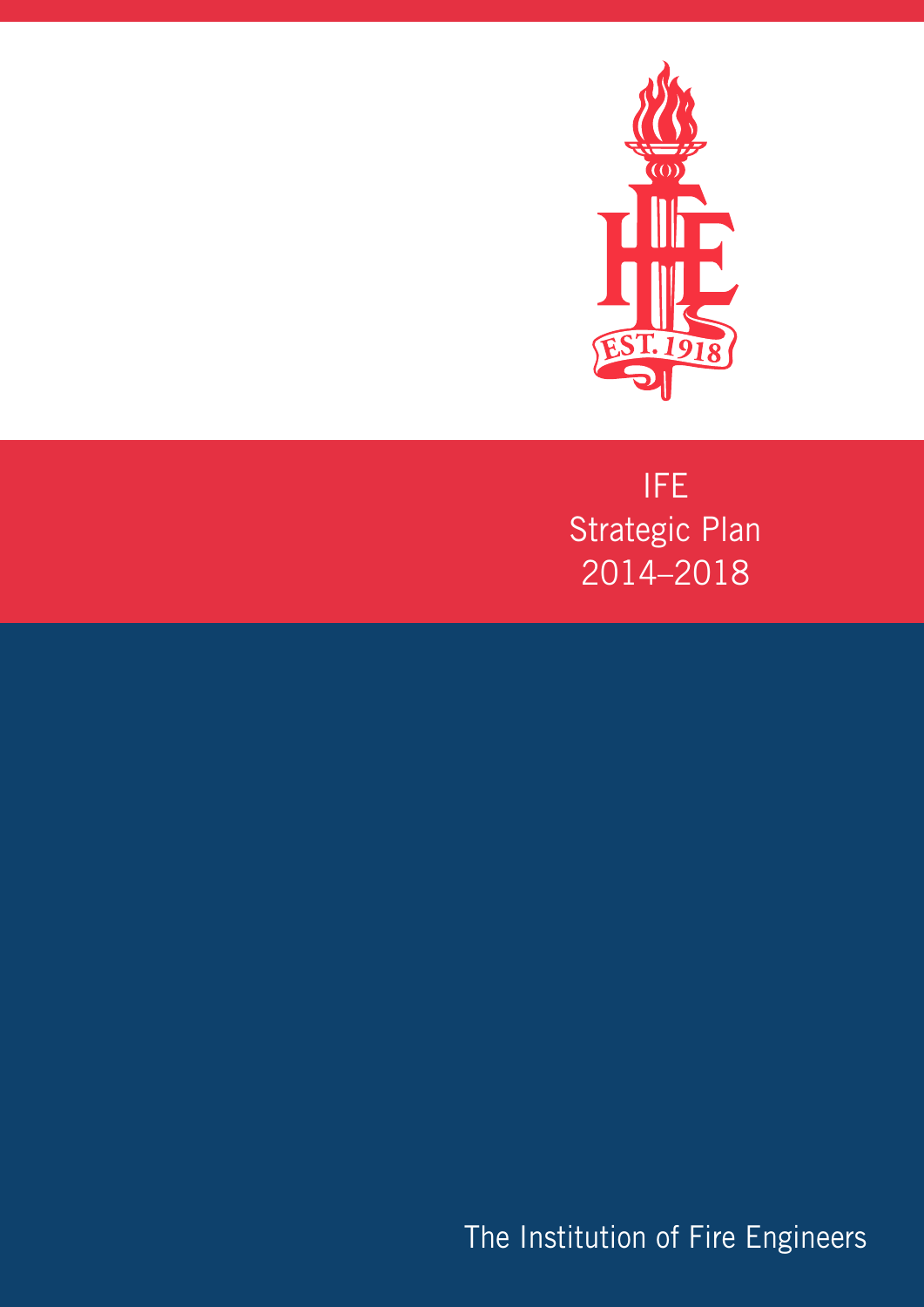

IFE Strategic Plan 2014–2018

The Institution of Fire Engineers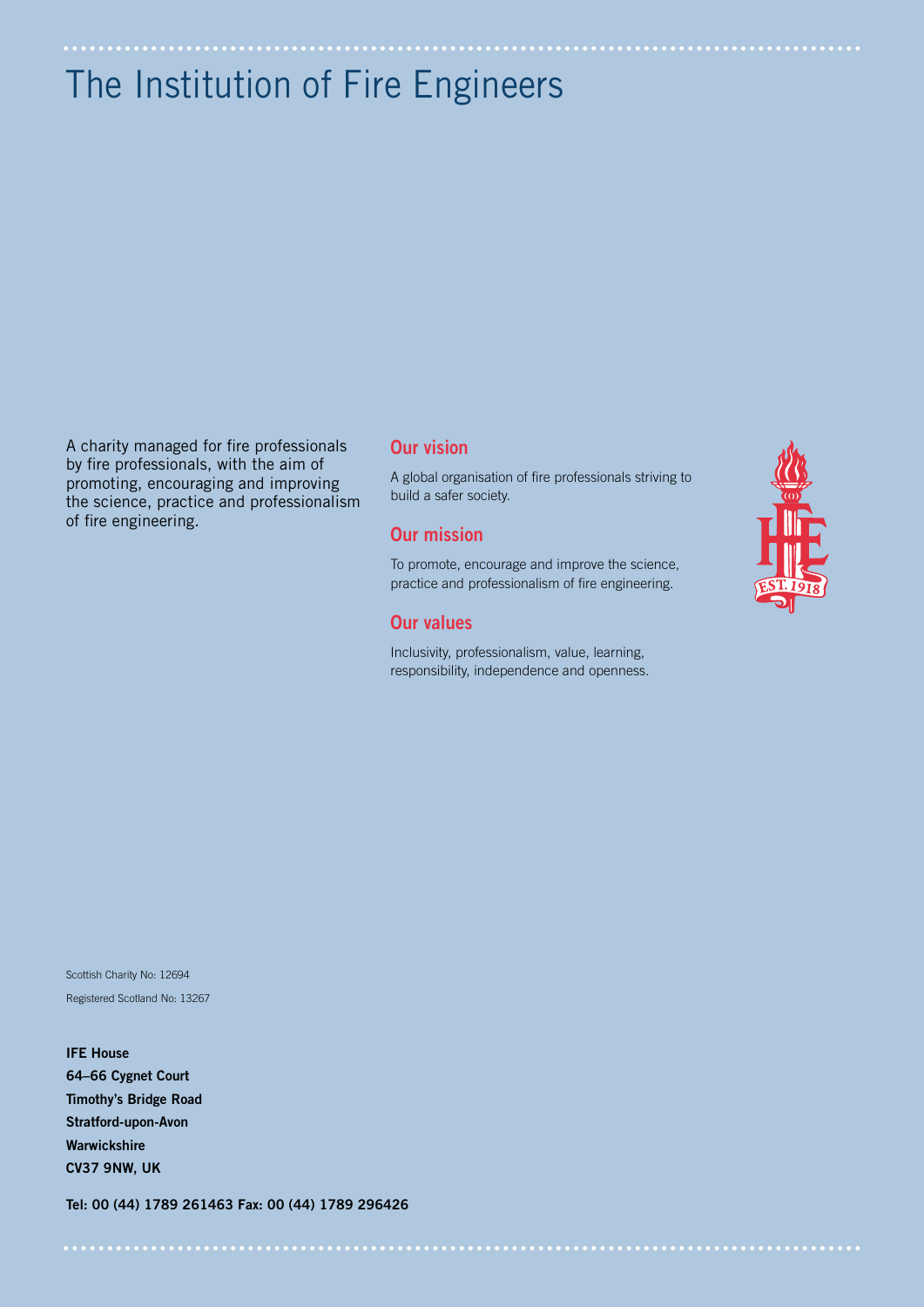# The Institution of Fire Engineers

A charity managed for fire professionals by fire professionals, with the aim of promoting, encouraging and improving the science, practice and professionalism of fire engineering.

#### Our vision

A global organisation of fire professionals striving to build a safer society.

#### Our mission

To promote, encourage and improve the science, practice and professionalism of fire engineering.

#### Our values

Inclusivity, professionalism, value, learning, responsibility, independence and openness.



Scottish Charity No: 12694 Registered Scotland No: 13267

IFE House 64–66 Cygnet Court Timothy's Bridge Road Stratford-upon-Avon **Warwickshire** CV37 9NW, UK

Tel: 00 (44) 1789 261463 Fax: 00 (44) 1789 296426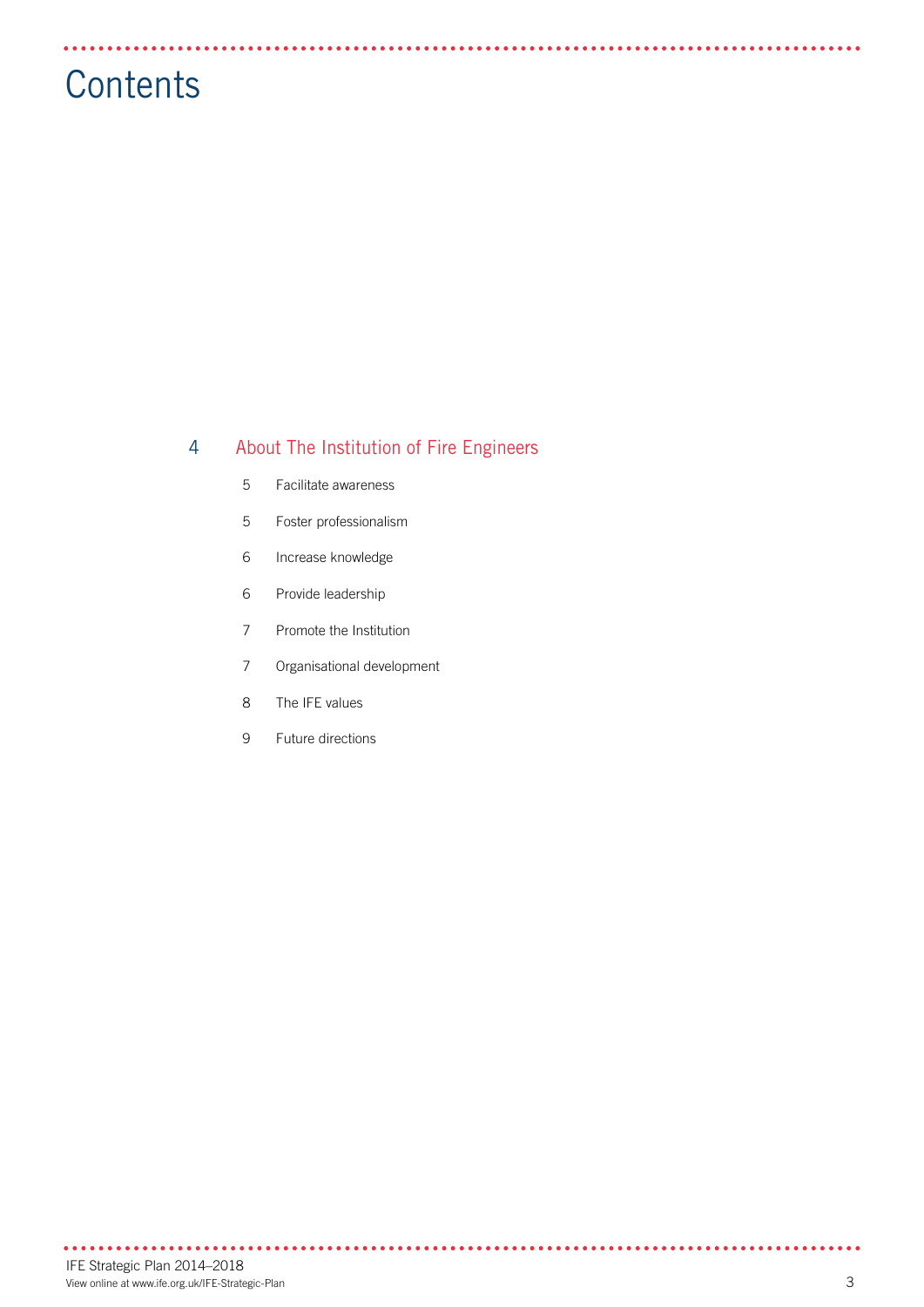# **Contents**

# 4 About The Institution of Fire Engineers

. . . . . . . . . . . .

- 5 Facilitate awareness
- 5 Foster professionalism
- 6 Increase knowledge
- 6 Provide leadership
- 7 Promote the Institution
- 7 Organisational development

. . . .

. . . . . . . . .

 $- - - -$ 

- 8 The IFE values
- 9 Future directions

 $\bullet$   $\bullet$   $\bullet$ 

 $\bullet$ 

 $\bullet$  . . . . . . .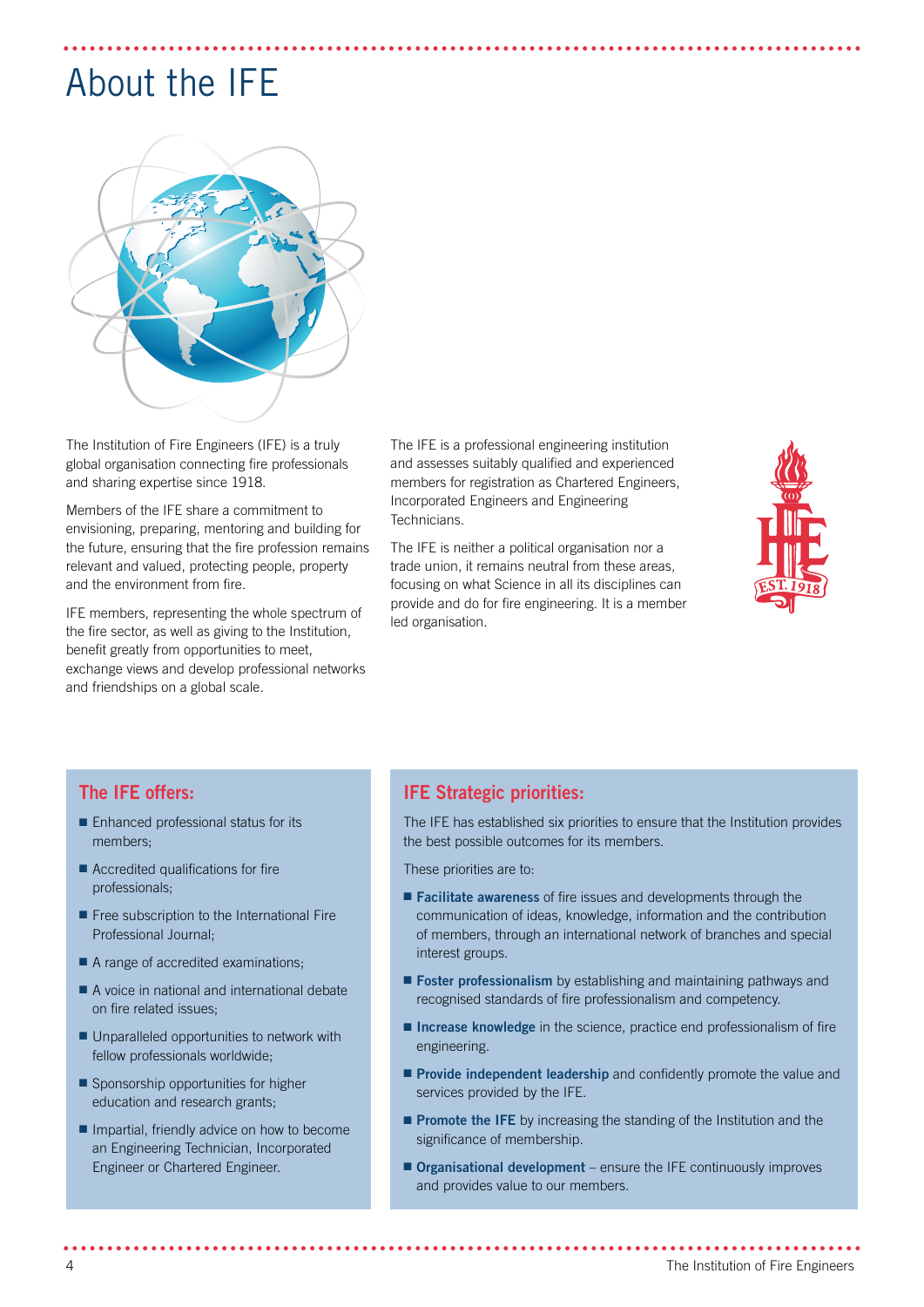# About the IFE



The Institution of Fire Engineers (IFE) is a truly global organisation connecting fire professionals and sharing expertise since 1918.

Members of the IFE share a commitment to envisioning, preparing, mentoring and building for the future, ensuring that the fire profession remains relevant and valued, protecting people, property and the environment from fire.

IFE members, representing the whole spectrum of the fire sector, as well as giving to the Institution, benefit greatly from opportunities to meet, exchange views and develop professional networks and friendships on a global scale.

The IFE is a professional engineering institution and assesses suitably qualified and experienced members for registration as Chartered Engineers, Incorporated Engineers and Engineering Technicians.

The IFE is neither a political organisation nor a trade union, it remains neutral from these areas, focusing on what Science in all its disciplines can provide and do for fire engineering. It is a member led organisation.



# The IFE offers:

- $\blacksquare$  Enhanced professional status for its members;
- $\blacksquare$  Accredited qualifications for fire professionals;
- $\blacksquare$  Free subscription to the International Fire Professional Journal;
- $\blacksquare$  A range of accredited examinations;
- $\blacksquare$  A voice in national and international debate on fire related issues;
- $\blacksquare$  Unparalleled opportunities to network with fellow professionals worldwide;
- $\blacksquare$  Sponsorship opportunities for higher education and research grants;
- $\blacksquare$  Impartial, friendly advice on how to become an Engineering Technician, Incorporated Engineer or Chartered Engineer.

# IFE Strategic priorities:

The IFE has established six priorities to ensure that the Institution provides the best possible outcomes for its members.

These priorities are to:

- Facilitate awareness of fire issues and developments through the communication of ideas, knowledge, information and the contribution of members, through an international network of branches and special interest groups.
- $\blacksquare$  Foster professionalism by establishing and maintaining pathways and recognised standards of fire professionalism and competency.
- **n** Increase knowledge in the science, practice end professionalism of fire engineering.
- **Provide independent leadership** and confidently promote the value and services provided by the IFE.
- **Promote the IFE** by increasing the standing of the Institution and the significance of membership.
- $\blacksquare$  Organisational development ensure the IFE continuously improves and provides value to our members.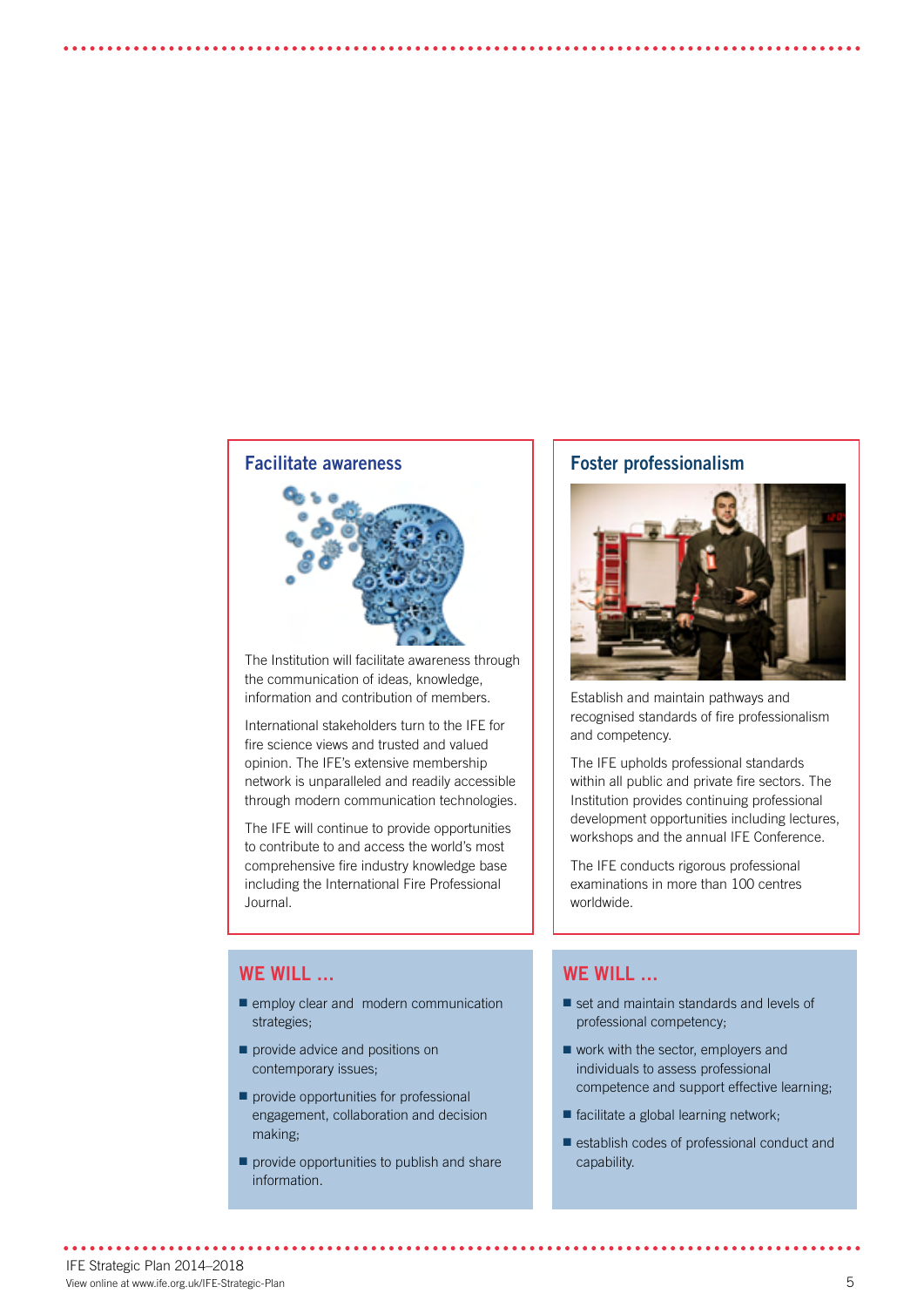#### Facilitate awareness



The Institution will facilitate awareness through the communication of ideas, knowledge, information and contribution of members.

International stakeholders turn to the IFE for fire science views and trusted and valued opinion. The IFE's extensive membership network is unparalleled and readily accessible through modern communication technologies.

The IFE will continue to provide opportunities to contribute to and access the world's most comprehensive fire industry knowledge base including the International Fire Professional Journal.

#### WE WILL …

- $\blacksquare$  employ clear and modern communication strategies;
- $\blacksquare$  provide advice and positions on contemporary issues;
- $\blacksquare$  provide opportunities for professional engagement, collaboration and decision making;
- $\blacksquare$  provide opportunities to publish and share information.

#### Foster professionalism



Establish and maintain pathways and recognised standards of fire professionalism and competency.

The IFE upholds professional standards within all public and private fire sectors. The Institution provides continuing professional development opportunities including lectures, workshops and the annual IFE Conference.

The IFE conducts rigorous professional examinations in more than 100 centres worldwide.

- $\blacksquare$  set and maintain standards and levels of professional competency;
- $\blacksquare$  work with the sector, employers and individuals to assess professional competence and support effective learning;
- $\blacksquare$  facilitate a global learning network;
- $\blacksquare$  establish codes of professional conduct and capability.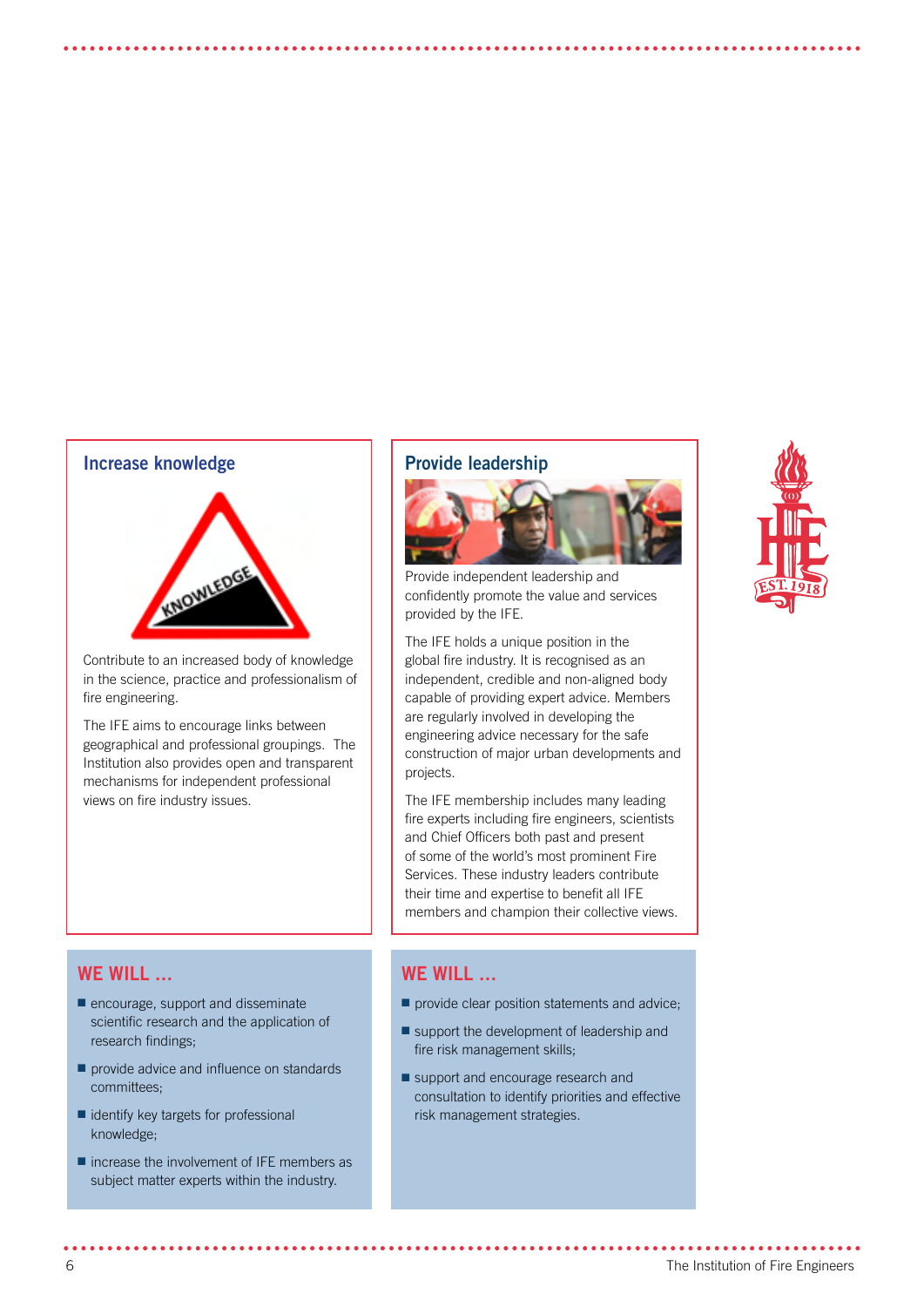#### Increase knowledge



Contribute to an increased body of knowledge in the science, practice and professionalism of fire engineering.

The IFE aims to encourage links between geographical and professional groupings. The Institution also provides open and transparent mechanisms for independent professional views on fire industry issues.

#### Provide leadership



Provide independent leadership and confidently promote the value and services provided by the IFE.

The IFE holds a unique position in the global fire industry. It is recognised as an independent, credible and non-aligned body capable of providing expert advice. Members are regularly involved in developing the engineering advice necessary for the safe construction of major urban developments and projects.

The IFE membership includes many leading fire experts including fire engineers, scientists and Chief Officers both past and present of some of the world's most prominent Fire Services. These industry leaders contribute their time and expertise to benefit all IFE members and champion their collective views.



#### WE WILL …

- $\blacksquare$  encourage, support and disseminate scientific research and the application of research findings;
- $\blacksquare$  provide advice and influence on standards committees;
- $\blacksquare$  identify key targets for professional knowledge;
- $\blacksquare$  increase the involvement of IFE members as subject matter experts within the industry.

- $\blacksquare$  provide clear position statements and advice:
- $\blacksquare$  support the development of leadership and fire risk management skills;
- $\blacksquare$  support and encourage research and consultation to identify priorities and effective risk management strategies.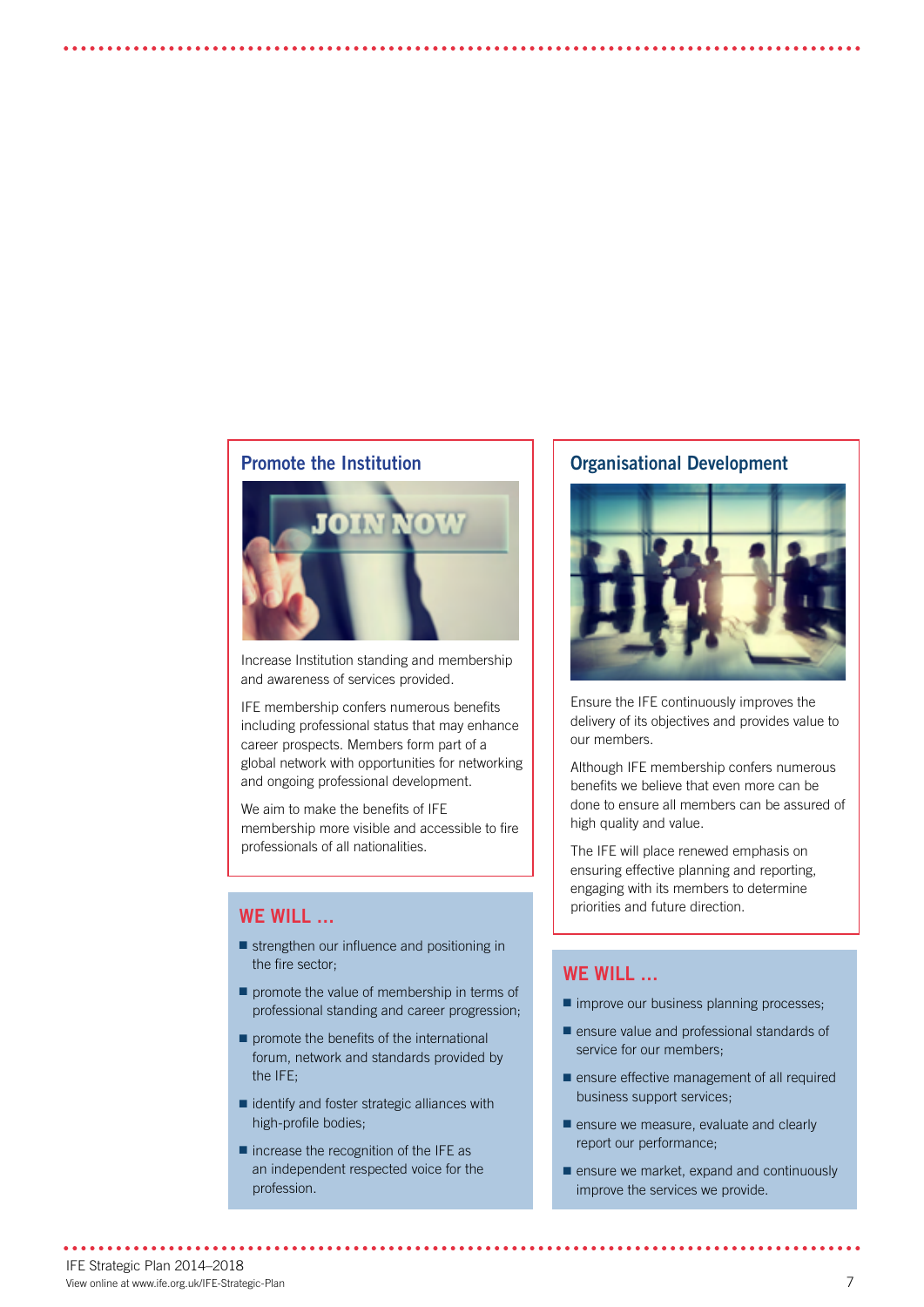#### Promote the Institution



Increase Institution standing and membership and awareness of services provided.

IFE membership confers numerous benefits including professional status that may enhance career prospects. Members form part of a global network with opportunities for networking and ongoing professional development.

We aim to make the benefits of IFE membership more visible and accessible to fire professionals of all nationalities.

- $\blacksquare$  strengthen our influence and positioning in the fire sector;
- $\blacksquare$  promote the value of membership in terms of professional standing and career progression;
- $\blacksquare$  promote the benefits of the international forum, network and standards provided by the IFE;
- $\blacksquare$  identify and foster strategic alliances with high-profile bodies;
- $\blacksquare$  increase the recognition of the IFE as an independent respected voice for the profession.

#### Organisational Development



Ensure the IFE continuously improves the delivery of its objectives and provides value to our members.

Although IFE membership confers numerous benefits we believe that even more can be done to ensure all members can be assured of high quality and value.

The IFE will place renewed emphasis on ensuring effective planning and reporting, engaging with its members to determine **WE WILL … WE WILL … WE WILL … WE WILL … WE WILL … WE WILL … WE WILL … WE WILL … WE WILL … WE WILL … WE WILL … WE WILL … WE WILL … WE WILL … WE WILL … WE WILL … WE WILL … WE WILL … WE WI** 

- $\blacksquare$  improve our business planning processes:
- $\blacksquare$  ensure value and professional standards of service for our members;
- $\blacksquare$  ensure effective management of all required business support services;
- $\blacksquare$  ensure we measure, evaluate and clearly report our performance;
- $\blacksquare$  ensure we market, expand and continuously improve the services we provide.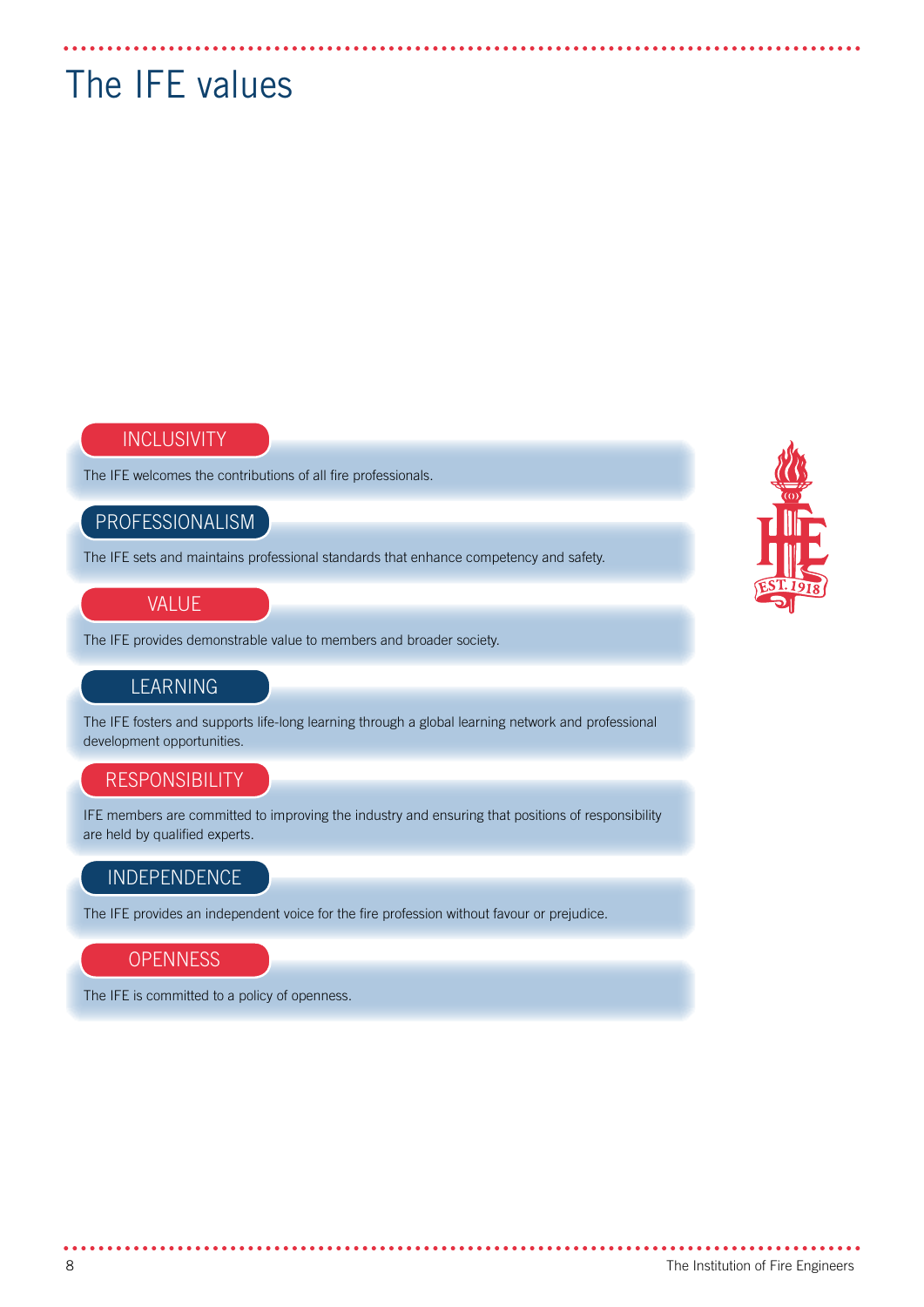# The IFE values

### **INCLUSIVITY**

The IFE welcomes the contributions of all fire professionals.

# PROFESSIONALISM

The IFE sets and maintains professional standards that enhance competency and safety.

**VALUE** 

The IFE provides demonstrable value to members and broader society.

# LEARNING

The IFE fosters and supports life-long learning through a global learning network and professional development opportunities.

# RESPONSIBILITY

IFE members are committed to improving the industry and ensuring that positions of responsibility are held by qualified experts.

### INDEPENDENCE

The IFE provides an independent voice for the fire profession without favour or prejudice.

# **OPENNESS**

The IFE is committed to a policy of openness.

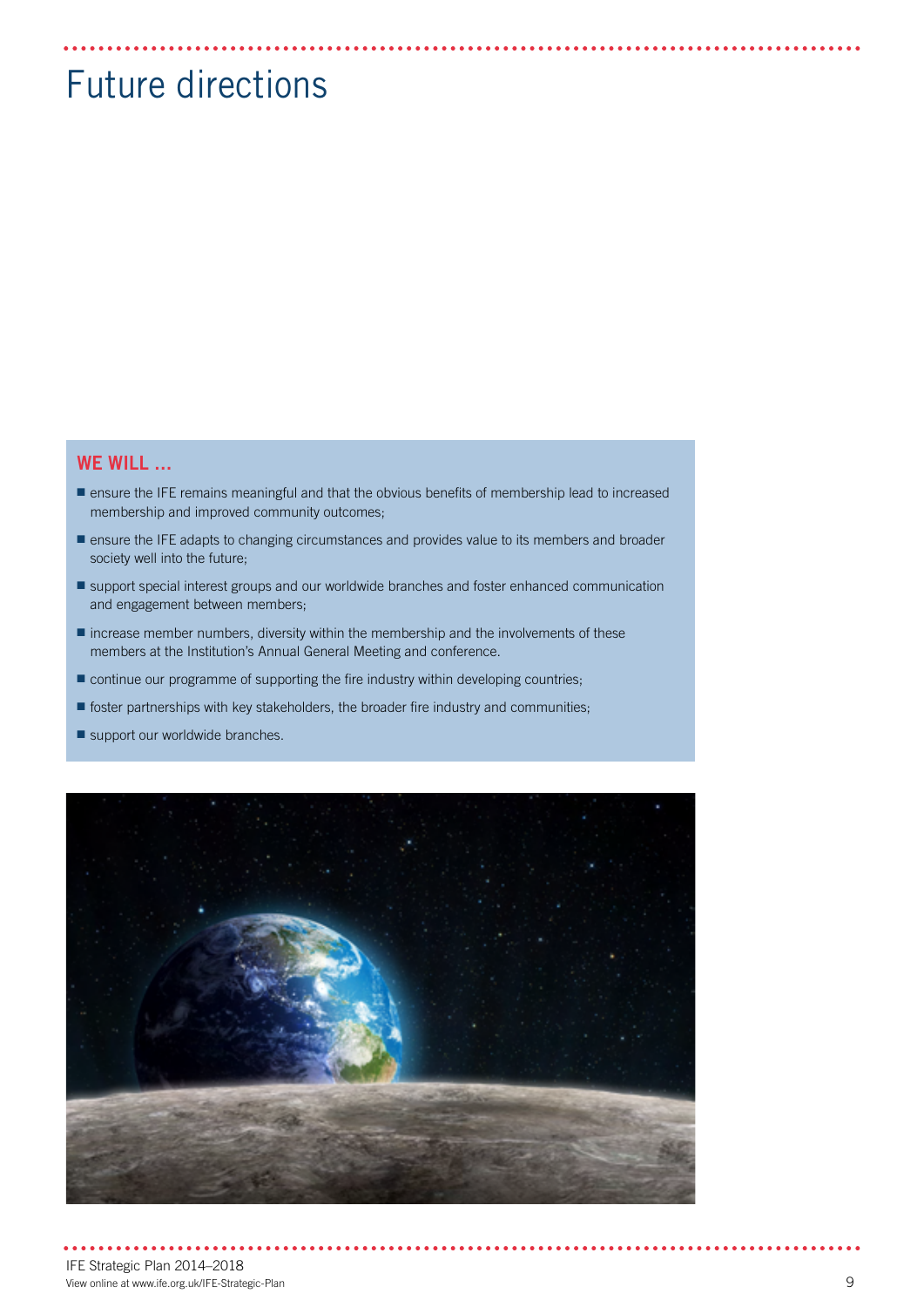# Future directions

- **n** ensure the IFE remains meaningful and that the obvious benefits of membership lead to increased membership and improved community outcomes;
- **n** ensure the IFE adapts to changing circumstances and provides value to its members and broader society well into the future;
- support special interest groups and our worldwide branches and foster enhanced communication and engagement between members;
- $\blacksquare$  increase member numbers, diversity within the membership and the involvements of these members at the Institution's Annual General Meeting and conference.
- $\blacksquare$  continue our programme of supporting the fire industry within developing countries;
- $\blacksquare$  foster partnerships with key stakeholders, the broader fire industry and communities;
- $\blacksquare$  support our worldwide branches.

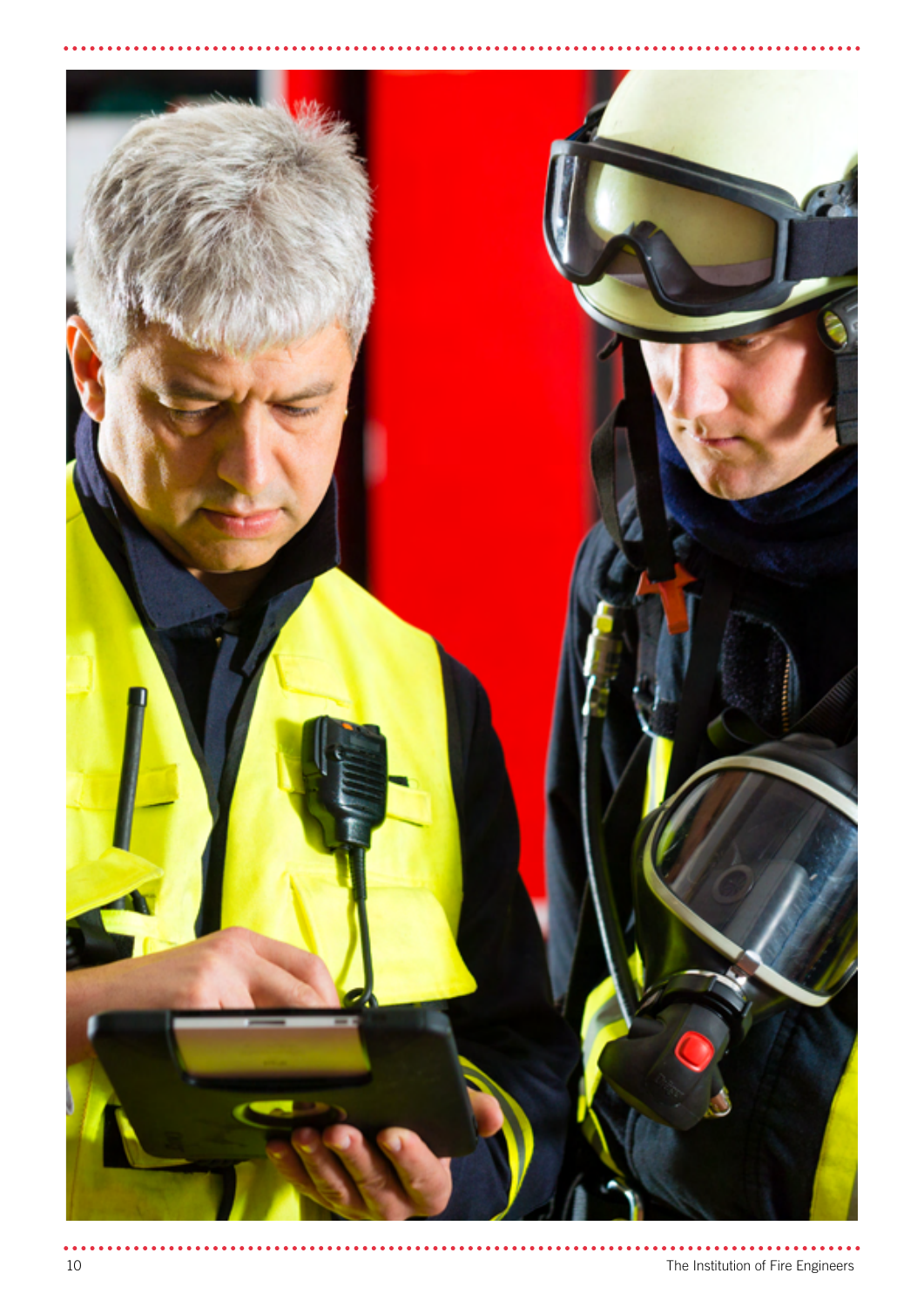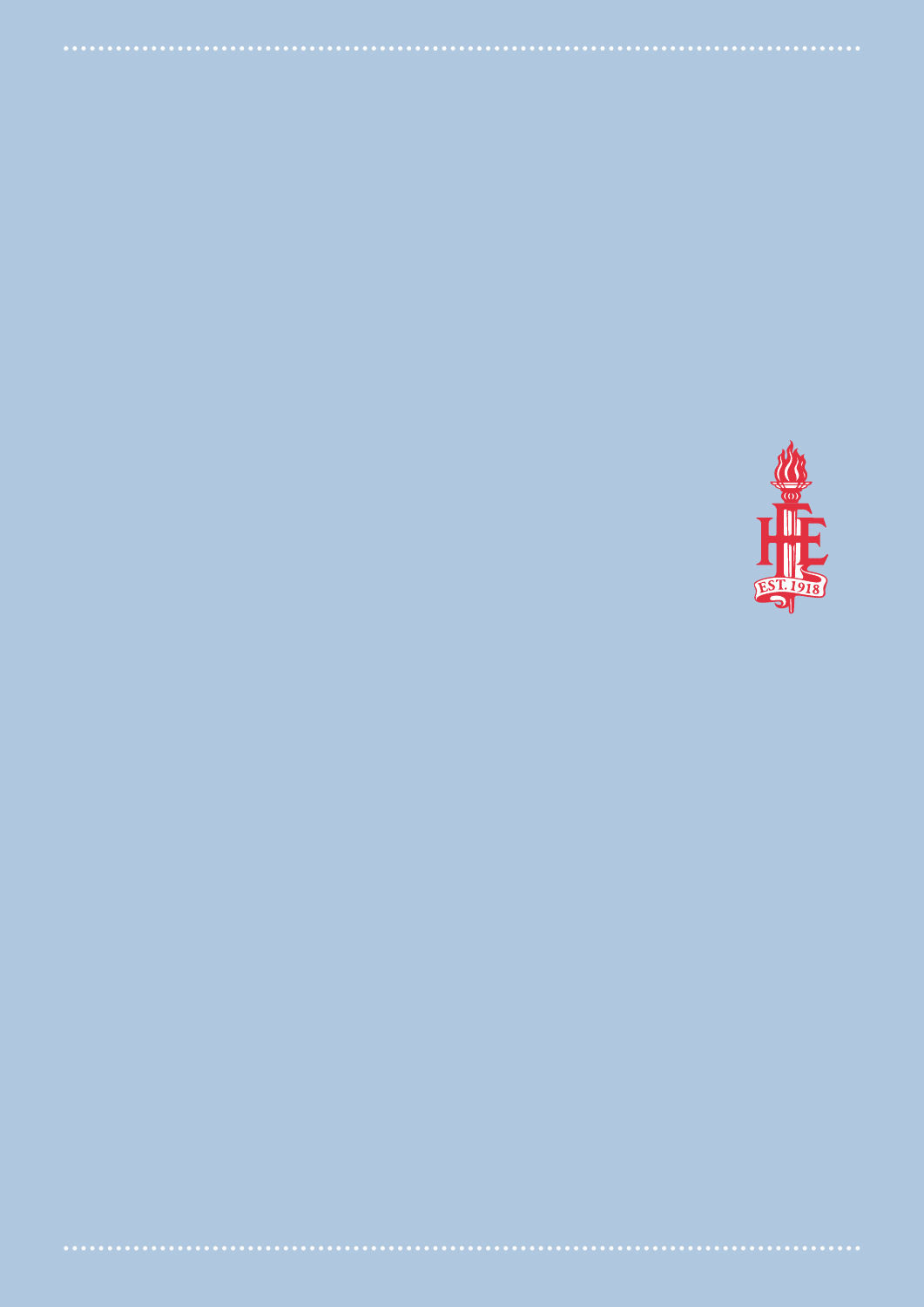